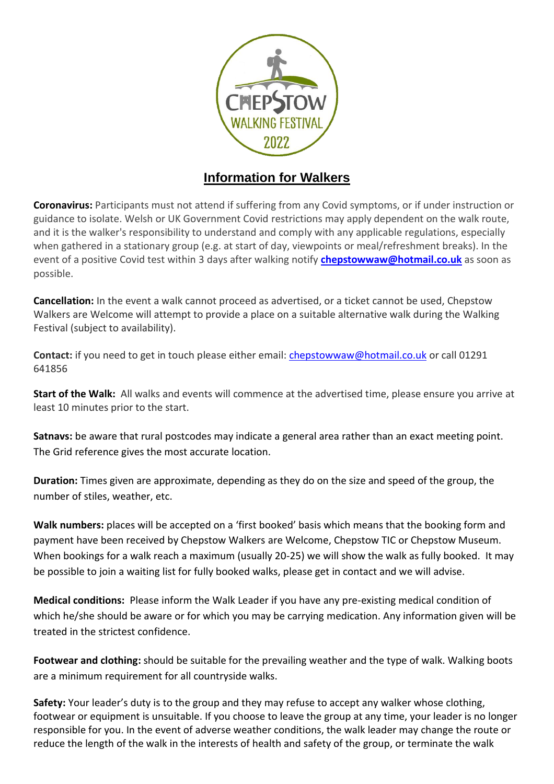

## **Information for Walkers**

**Coronavirus:** Participants must not attend if suffering from any Covid symptoms, or if under instruction or guidance to isolate. Welsh or UK Government Covid restrictions may apply dependent on the walk route, and it is the walker's responsibility to understand and comply with any applicable regulations, especially when gathered in a stationary group (e.g. at start of day, viewpoints or meal/refreshment breaks). In the event of a positive Covid test within 3 days after walking notify **[chepstowwaw@hotmail.co.uk](mailto:chepstowwaw@hotmail.co.uk)** as soon as possible.

**Cancellation:** In the event a walk cannot proceed as advertised, or a ticket cannot be used, Chepstow Walkers are Welcome will attempt to provide a place on a suitable alternative walk during the Walking Festival (subject to availability).

**Contact:** if you need to get in touch please either email: [chepstowwaw@hotmail.co.uk](mailto:chepstowwaw@hotmail.co.uk) or call 01291 641856

**Start of the Walk:** All walks and events will commence at the advertised time, please ensure you arrive at least 10 minutes prior to the start.

**Satnavs:** be aware that rural postcodes may indicate a general area rather than an exact meeting point. The Grid reference gives the most accurate location.

**Duration:** Times given are approximate, depending as they do on the size and speed of the group, the number of stiles, weather, etc.

**Walk numbers:** places will be accepted on a 'first booked' basis which means that the booking form and payment have been received by Chepstow Walkers are Welcome, Chepstow TIC or Chepstow Museum. When bookings for a walk reach a maximum (usually 20-25) we will show the walk as fully booked. It may be possible to join a waiting list for fully booked walks, please get in contact and we will advise.

**Medical conditions:** Please inform the Walk Leader if you have any pre-existing medical condition of which he/she should be aware or for which you may be carrying medication. Any information given will be treated in the strictest confidence.

**Footwear and clothing:** should be suitable for the prevailing weather and the type of walk. Walking boots are a minimum requirement for all countryside walks.

**Safety:** Your leader's duty is to the group and they may refuse to accept any walker whose clothing, footwear or equipment is unsuitable. If you choose to leave the group at any time, your leader is no longer responsible for you. In the event of adverse weather conditions, the walk leader may change the route or reduce the length of the walk in the interests of health and safety of the group, or terminate the walk